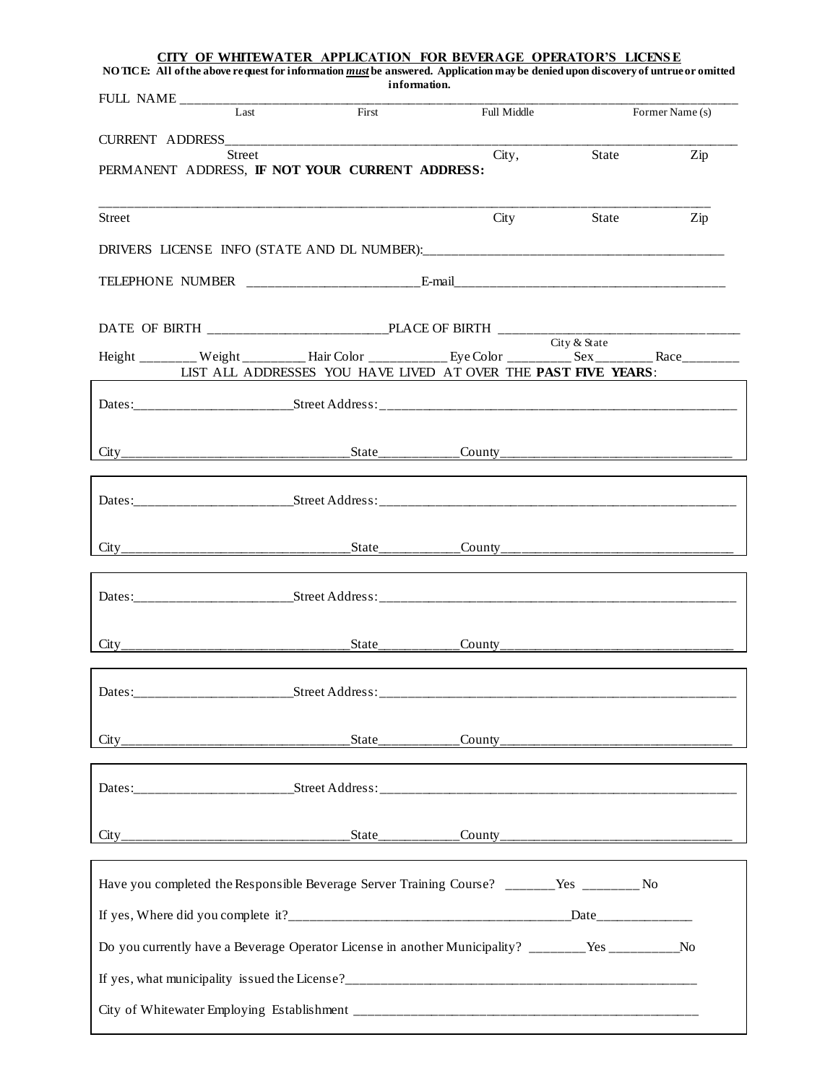| NO TICE: All of the above request for information must be answered. Application may be denied upon discovery of untrue or omitted | CITY OF WHITEWATER APPLICATION FOR BEVERAGE OPERATOR'S LICENSE<br>information. |             |       |                 |
|-----------------------------------------------------------------------------------------------------------------------------------|--------------------------------------------------------------------------------|-------------|-------|-----------------|
|                                                                                                                                   |                                                                                |             |       |                 |
| Last                                                                                                                              | First                                                                          | Full Middle |       | Former Name (s) |
|                                                                                                                                   |                                                                                |             |       |                 |
| Street<br>PERMANENT ADDRESS, IF NOT YOUR CURRENT ADDRESS:                                                                         |                                                                                | City,       | State | Zip             |
| Street                                                                                                                            |                                                                                | City        | State | Zip             |
|                                                                                                                                   |                                                                                |             |       |                 |
|                                                                                                                                   |                                                                                |             |       |                 |
|                                                                                                                                   |                                                                                |             |       |                 |
| Height ________ Weight __________ Hair Color ___________ Eye Color __________ Sex __________ Race_________                        |                                                                                |             |       |                 |
|                                                                                                                                   | LIST ALL ADDRESSES YOU HAVE LIVED AT OVER THE PAST FIVE YEARS:                 |             |       |                 |
|                                                                                                                                   |                                                                                |             |       |                 |
|                                                                                                                                   |                                                                                |             |       |                 |
|                                                                                                                                   |                                                                                |             |       |                 |
|                                                                                                                                   |                                                                                |             |       |                 |
|                                                                                                                                   |                                                                                |             |       |                 |
|                                                                                                                                   |                                                                                |             |       |                 |
|                                                                                                                                   |                                                                                |             |       |                 |
|                                                                                                                                   |                                                                                |             |       |                 |
|                                                                                                                                   |                                                                                |             |       |                 |
|                                                                                                                                   |                                                                                |             |       |                 |
|                                                                                                                                   |                                                                                |             |       |                 |
| Have you completed the Responsible Beverage Server Training Course? _______Yes ________ No                                        |                                                                                |             |       |                 |
|                                                                                                                                   |                                                                                |             |       |                 |
| Do you currently have a Beverage Operator License in another Municipality? _______Yes __________No                                |                                                                                |             |       |                 |
|                                                                                                                                   |                                                                                |             |       |                 |
|                                                                                                                                   |                                                                                |             |       |                 |